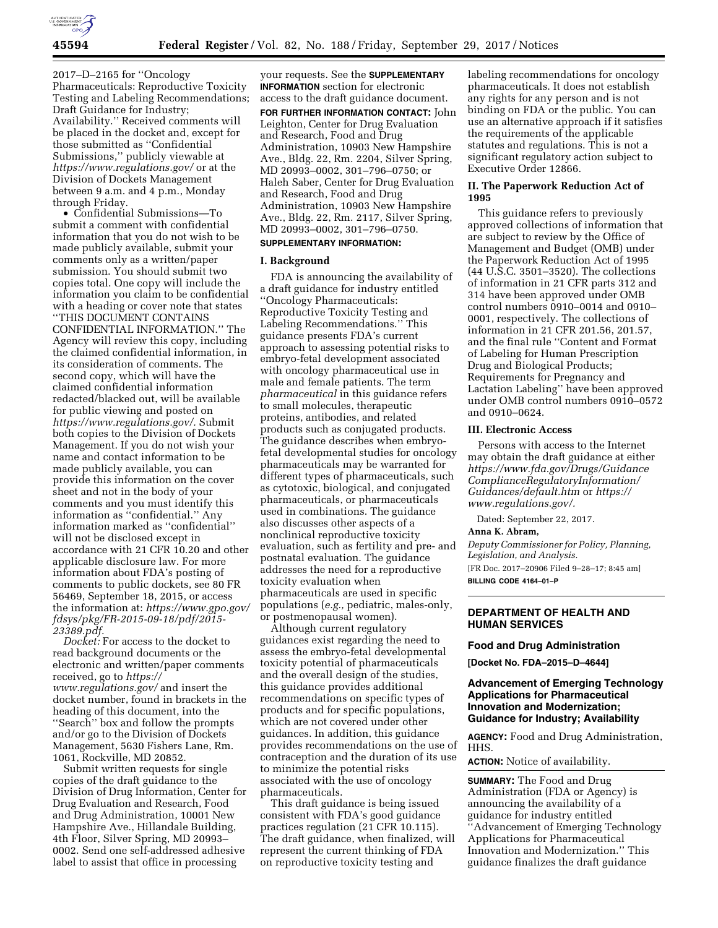

2017–D–2165 for ''Oncology Pharmaceuticals: Reproductive Toxicity Testing and Labeling Recommendations; Draft Guidance for Industry; Availability.'' Received comments will be placed in the docket and, except for those submitted as ''Confidential Submissions,'' publicly viewable at *<https://www.regulations.gov/>*or at the Division of Dockets Management between 9 a.m. and 4 p.m., Monday through Friday.

• Confidential Submissions—To submit a comment with confidential information that you do not wish to be made publicly available, submit your comments only as a written/paper submission. You should submit two copies total. One copy will include the information you claim to be confidential with a heading or cover note that states ''THIS DOCUMENT CONTAINS CONFIDENTIAL INFORMATION.'' The Agency will review this copy, including the claimed confidential information, in its consideration of comments. The second copy, which will have the claimed confidential information redacted/blacked out, will be available for public viewing and posted on *[https://www.regulations.gov/.](https://www.regulations.gov/)* Submit both copies to the Division of Dockets Management. If you do not wish your name and contact information to be made publicly available, you can provide this information on the cover sheet and not in the body of your comments and you must identify this information as ''confidential.'' Any information marked as ''confidential'' will not be disclosed except in accordance with 21 CFR 10.20 and other applicable disclosure law. For more information about FDA's posting of comments to public dockets, see 80 FR 56469, September 18, 2015, or access the information at: *[https://www.gpo.gov/](https://www.gpo.gov/fdsys/pkg/FR-2015-09-18/pdf/2015-23389.pdf) [fdsys/pkg/FR-2015-09-18/pdf/2015-](https://www.gpo.gov/fdsys/pkg/FR-2015-09-18/pdf/2015-23389.pdf)  [23389.pdf.](https://www.gpo.gov/fdsys/pkg/FR-2015-09-18/pdf/2015-23389.pdf)* 

*Docket:* For access to the docket to read background documents or the electronic and written/paper comments received, go to *[https://](https://www.regulations.gov/) [www.regulations.gov/](https://www.regulations.gov/)* and insert the docket number, found in brackets in the heading of this document, into the ''Search'' box and follow the prompts and/or go to the Division of Dockets Management, 5630 Fishers Lane, Rm. 1061, Rockville, MD 20852.

Submit written requests for single copies of the draft guidance to the Division of Drug Information, Center for Drug Evaluation and Research, Food and Drug Administration, 10001 New Hampshire Ave., Hillandale Building, 4th Floor, Silver Spring, MD 20993– 0002. Send one self-addressed adhesive label to assist that office in processing

your requests. See the **SUPPLEMENTARY INFORMATION** section for electronic access to the draft guidance document.

**FOR FURTHER INFORMATION CONTACT:** John Leighton, Center for Drug Evaluation and Research, Food and Drug Administration, 10903 New Hampshire Ave., Bldg. 22, Rm. 2204, Silver Spring, MD 20993–0002, 301–796–0750; or Haleh Saber, Center for Drug Evaluation and Research, Food and Drug Administration, 10903 New Hampshire Ave., Bldg. 22, Rm. 2117, Silver Spring, MD 20993–0002, 301–796–0750.

# **SUPPLEMENTARY INFORMATION:**

### **I. Background**

FDA is announcing the availability of a draft guidance for industry entitled ''Oncology Pharmaceuticals: Reproductive Toxicity Testing and Labeling Recommendations.'' This guidance presents FDA's current approach to assessing potential risks to embryo-fetal development associated with oncology pharmaceutical use in male and female patients. The term *pharmaceutical* in this guidance refers to small molecules, therapeutic proteins, antibodies, and related products such as conjugated products. The guidance describes when embryofetal developmental studies for oncology pharmaceuticals may be warranted for different types of pharmaceuticals, such as cytotoxic, biological, and conjugated pharmaceuticals, or pharmaceuticals used in combinations. The guidance also discusses other aspects of a nonclinical reproductive toxicity evaluation, such as fertility and pre- and postnatal evaluation. The guidance addresses the need for a reproductive toxicity evaluation when pharmaceuticals are used in specific populations (*e.g.,* pediatric, males-only, or postmenopausal women).

Although current regulatory guidances exist regarding the need to assess the embryo-fetal developmental toxicity potential of pharmaceuticals and the overall design of the studies, this guidance provides additional recommendations on specific types of products and for specific populations, which are not covered under other guidances. In addition, this guidance provides recommendations on the use of contraception and the duration of its use to minimize the potential risks associated with the use of oncology pharmaceuticals.

This draft guidance is being issued consistent with FDA's good guidance practices regulation (21 CFR 10.115). The draft guidance, when finalized, will represent the current thinking of FDA on reproductive toxicity testing and

labeling recommendations for oncology pharmaceuticals. It does not establish any rights for any person and is not binding on FDA or the public. You can use an alternative approach if it satisfies the requirements of the applicable statutes and regulations. This is not a significant regulatory action subject to Executive Order 12866.

# **II. The Paperwork Reduction Act of 1995**

This guidance refers to previously approved collections of information that are subject to review by the Office of Management and Budget (OMB) under the Paperwork Reduction Act of 1995 (44 U.S.C. 3501–3520). The collections of information in 21 CFR parts 312 and 314 have been approved under OMB control numbers 0910–0014 and 0910– 0001, respectively. The collections of information in 21 CFR 201.56, 201.57, and the final rule ''Content and Format of Labeling for Human Prescription Drug and Biological Products; Requirements for Pregnancy and Lactation Labeling'' have been approved under OMB control numbers 0910–0572 and 0910–0624.

### **III. Electronic Access**

Persons with access to the Internet may obtain the draft guidance at either *[https://www.fda.gov/Drugs/Guidance](https://www.fda.gov/Drugs/GuidanceComplianceRegulatoryInformation/Guidances/default.htm) [ComplianceRegulatoryInformation/](https://www.fda.gov/Drugs/GuidanceComplianceRegulatoryInformation/Guidances/default.htm) [Guidances/default.htm](https://www.fda.gov/Drugs/GuidanceComplianceRegulatoryInformation/Guidances/default.htm)* or *[https://](https://www.regulations.gov/) [www.regulations.gov/.](https://www.regulations.gov/)* 

Dated: September 22, 2017.

#### **Anna K. Abram,**

*Deputy Commissioner for Policy, Planning, Legislation, and Analysis.*  [FR Doc. 2017–20906 Filed 9–28–17; 8:45 am]

**BILLING CODE 4164–01–P** 

# **DEPARTMENT OF HEALTH AND HUMAN SERVICES**

### **Food and Drug Administration**

**[Docket No. FDA–2015–D–4644]** 

# **Advancement of Emerging Technology Applications for Pharmaceutical Innovation and Modernization; Guidance for Industry; Availability**

**AGENCY:** Food and Drug Administration, HHS.

**ACTION:** Notice of availability.

**SUMMARY:** The Food and Drug Administration (FDA or Agency) is announcing the availability of a guidance for industry entitled ''Advancement of Emerging Technology Applications for Pharmaceutical Innovation and Modernization.'' This guidance finalizes the draft guidance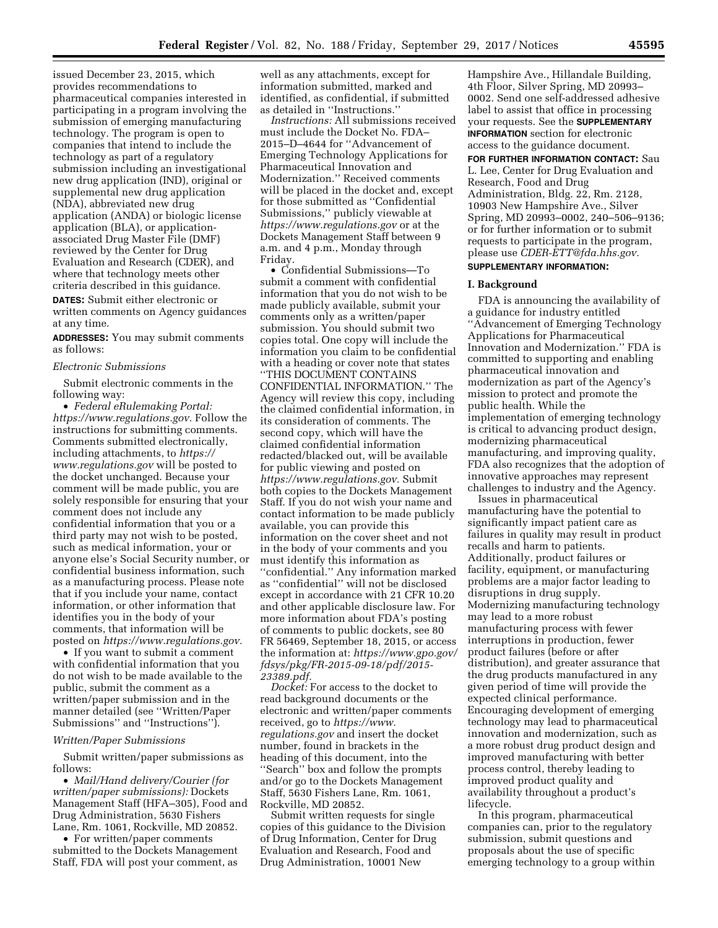issued December 23, 2015, which provides recommendations to pharmaceutical companies interested in participating in a program involving the submission of emerging manufacturing technology. The program is open to companies that intend to include the technology as part of a regulatory submission including an investigational new drug application (IND), original or supplemental new drug application (NDA), abbreviated new drug application (ANDA) or biologic license application (BLA), or applicationassociated Drug Master File (DMF) reviewed by the Center for Drug Evaluation and Research (CDER), and where that technology meets other criteria described in this guidance.

**DATES:** Submit either electronic or written comments on Agency guidances at any time.

**ADDRESSES:** You may submit comments as follows:

### *Electronic Submissions*

Submit electronic comments in the following way:

• *Federal eRulemaking Portal: [https://www.regulations.gov.](https://www.regulations.gov)* Follow the instructions for submitting comments. Comments submitted electronically, including attachments, to *[https://](https://www.regulations.gov) [www.regulations.gov](https://www.regulations.gov)* will be posted to the docket unchanged. Because your comment will be made public, you are solely responsible for ensuring that your comment does not include any confidential information that you or a third party may not wish to be posted, such as medical information, your or anyone else's Social Security number, or confidential business information, such as a manufacturing process. Please note that if you include your name, contact information, or other information that identifies you in the body of your comments, that information will be posted on *[https://www.regulations.gov.](https://www.regulations.gov)* 

• If you want to submit a comment with confidential information that you do not wish to be made available to the public, submit the comment as a written/paper submission and in the manner detailed (see ''Written/Paper Submissions'' and ''Instructions'').

# *Written/Paper Submissions*

Submit written/paper submissions as follows:

• *Mail/Hand delivery/Courier (for written/paper submissions):* Dockets Management Staff (HFA–305), Food and Drug Administration, 5630 Fishers Lane, Rm. 1061, Rockville, MD 20852.

• For written/paper comments submitted to the Dockets Management Staff, FDA will post your comment, as

well as any attachments, except for information submitted, marked and identified, as confidential, if submitted as detailed in ''Instructions.''

*Instructions:* All submissions received must include the Docket No. FDA– 2015–D–4644 for ''Advancement of Emerging Technology Applications for Pharmaceutical Innovation and Modernization.'' Received comments will be placed in the docket and, except for those submitted as ''Confidential Submissions,'' publicly viewable at *<https://www.regulations.gov>* or at the Dockets Management Staff between 9 a.m. and 4 p.m., Monday through Friday.

• Confidential Submissions—To submit a comment with confidential information that you do not wish to be made publicly available, submit your comments only as a written/paper submission. You should submit two copies total. One copy will include the information you claim to be confidential with a heading or cover note that states ''THIS DOCUMENT CONTAINS CONFIDENTIAL INFORMATION.'' The Agency will review this copy, including the claimed confidential information, in its consideration of comments. The second copy, which will have the claimed confidential information redacted/blacked out, will be available for public viewing and posted on *[https://www.regulations.gov.](https://www.regulations.gov)* Submit both copies to the Dockets Management Staff. If you do not wish your name and contact information to be made publicly available, you can provide this information on the cover sheet and not in the body of your comments and you must identify this information as ''confidential.'' Any information marked as ''confidential'' will not be disclosed except in accordance with 21 CFR 10.20 and other applicable disclosure law. For more information about FDA's posting of comments to public dockets, see 80 FR 56469, September 18, 2015, or access the information at: *[https://www.gpo.gov/](https://www.gpo.gov/fdsys/pkg/FR-2015-09-18/pdf/2015-23389.pdf) [fdsys/pkg/FR-2015-09-18/pdf/2015-](https://www.gpo.gov/fdsys/pkg/FR-2015-09-18/pdf/2015-23389.pdf) [23389.pdf.](https://www.gpo.gov/fdsys/pkg/FR-2015-09-18/pdf/2015-23389.pdf)* 

*Docket:* For access to the docket to read background documents or the electronic and written/paper comments received, go to *[https://www.](https://www.regulations.gov) [regulations.gov](https://www.regulations.gov)* and insert the docket number, found in brackets in the heading of this document, into the ''Search'' box and follow the prompts and/or go to the Dockets Management Staff, 5630 Fishers Lane, Rm. 1061, Rockville, MD 20852.

Submit written requests for single copies of this guidance to the Division of Drug Information, Center for Drug Evaluation and Research, Food and Drug Administration, 10001 New

Hampshire Ave., Hillandale Building, 4th Floor, Silver Spring, MD 20993– 0002. Send one self-addressed adhesive label to assist that office in processing your requests. See the **SUPPLEMENTARY INFORMATION** section for electronic access to the guidance document.

**FOR FURTHER INFORMATION CONTACT:** Sau L. Lee, Center for Drug Evaluation and Research, Food and Drug Administration, Bldg. 22, Rm. 2128, 10903 New Hampshire Ave., Silver Spring, MD 20993–0002, 240–506–9136; or for further information or to submit requests to participate in the program, please use *[CDER-ETT@fda.hhs.gov.](mailto:CDER-ETT@fda.hhs.gov)* 

# **SUPPLEMENTARY INFORMATION:**

# **I. Background**

FDA is announcing the availability of a guidance for industry entitled ''Advancement of Emerging Technology Applications for Pharmaceutical Innovation and Modernization.'' FDA is committed to supporting and enabling pharmaceutical innovation and modernization as part of the Agency's mission to protect and promote the public health. While the implementation of emerging technology is critical to advancing product design, modernizing pharmaceutical manufacturing, and improving quality, FDA also recognizes that the adoption of innovative approaches may represent challenges to industry and the Agency.

Issues in pharmaceutical manufacturing have the potential to significantly impact patient care as failures in quality may result in product recalls and harm to patients. Additionally, product failures or facility, equipment, or manufacturing problems are a major factor leading to disruptions in drug supply. Modernizing manufacturing technology may lead to a more robust manufacturing process with fewer interruptions in production, fewer product failures (before or after distribution), and greater assurance that the drug products manufactured in any given period of time will provide the expected clinical performance. Encouraging development of emerging technology may lead to pharmaceutical innovation and modernization, such as a more robust drug product design and improved manufacturing with better process control, thereby leading to improved product quality and availability throughout a product's lifecycle.

In this program, pharmaceutical companies can, prior to the regulatory submission, submit questions and proposals about the use of specific emerging technology to a group within